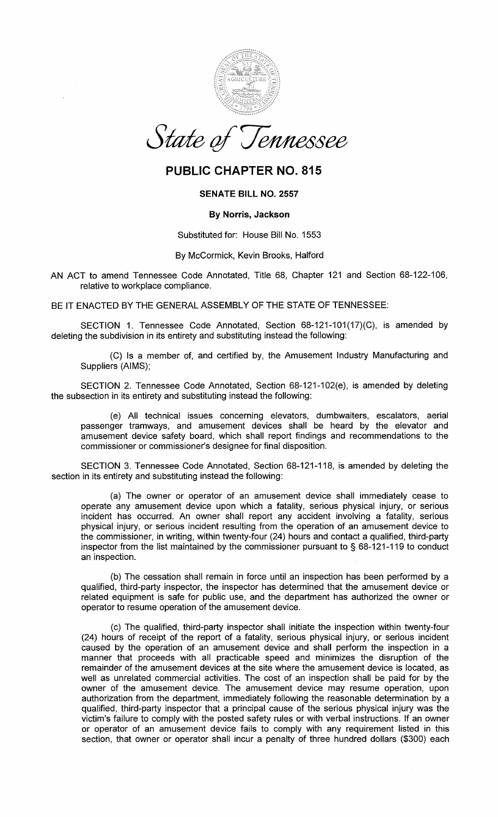

State of T 'ennessee

# PUBLIC CHAPTER NO. 815

## SENATE BILL NO. 2557

### By Norris, Jackson

#### Substituted for: House Bill No. 1553

#### By McCormick, Kevin Brooks, Halford

AN ACT to amend Tennessee Code Annotated, Title 68, Chapter 121 and Section 68-122-106, relative to workplace compliance.

BE IT ENACTED BY THE GENERAL ASSEMBLY OF THE STATE OF TENNESSEE:

SECTION 1. Tennessee Code Annotated, Section 68-121-101(17)(C), is amended by deleting the subdivision in its entirety and substituting instead the following:

(C) Is a member of, and certified by, the Amusement Industry Manufacturing and Suppliers (AIMS);

SECTION 2. Tennessee Code Annotated, Section 68-121-102(e), is amended by deleting the subsection in its entirety and substituting instead the following:

(e) All technical issues concerning elevators, dumbwaiters, escalators, aerial passenger tramways, and amusement devices shall be heard by the elevator and amusement device safety board, which shall report findings and recommendations to the commissioner or commissioner's designee for final disposition.

SECTION 3. Tennessee Code Annotated, Section 68-121-118, is amended by deleting the section in its entirety and substituting instead the following:

(a) The owner or operator of an amusement device shall immediately cease to operate any amusement device upon which a fatality, serious physical injury, or serious incident has occurred. An owner shall report any accident involving a fatality, serious physical injury, or serious incident resulting from the operation of an amusement device to the commissioner, in writing, within twenty-four (24) hours and contact a qualified, third-party inspector from the list maintained by the commissioner pursuant to§ 68-121-119 to conduct an inspection.

(b) The cessation shall remain in force until an inspection has been performed by a qualified, third-party inspector, the inspector has determined that the amusement device or related equipment is safe for public use, and the department has authorized the owner or operator to resume operation of the amusement device.

(c) The qualified, third-party inspector shall initiate the inspection within twenty-four (24) hours of receipt of the report of a fatality, serious physical injury, or serious incident caused by the operation of an amusement device and shall perform the inspection in a manner that proceeds with all practicable speed and minimizes the disruption of the remainder of the amusement devices at the site where the amusement device is located, as well as unrelated commercial activities. The cost of an inspection shall be paid for by the owner of the amusement device. The amusement device may resume operation, upon authorization from the department, immediately following the reasonable determination by a qualified, third-party inspector that a principal cause of the serious physical injury was the victim's failure to comply with the posted safety rules or with verbal instructions. If an owner or operator of an amusement device fails to comply with any requirement listed in this section, that owner or operator shall incur a penalty of three hundred dollars (\$300) each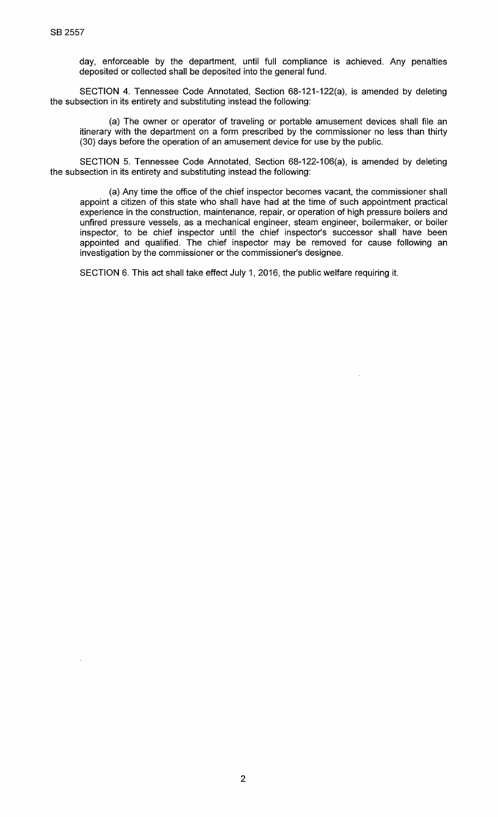day, enforceable by the department, until full compliance is achieved. Any penalties deposited or collected shall be deposited into the general fund.

SECTION 4. Tennessee Code Annotated, Section 68-121-122(a), is amended by deleting the subsection in its entirety and substituting instead the following:

(a) The owner or operator of traveling or portable amusement devices shall file an itinerary with the department on a form prescribed by the commissioner no less than thirty (30) days before the operation of an amusement device for use by the public.

SECTION 5. Tennessee Code Annotated, Section 68-122-106(a), is amended by deleting the subsection in its entirety and substituting instead the following:

(a) Any time the office of the chief inspector becomes vacant, the commissioner shall appoint a citizen of this state who shall have had at the time of such appointment practical experience in the construction, maintenance, repair, or operation of high pressure boilers and unfired pressure vessels, as a mechanical engineer, steam engineer, boilermaker, or boiler inspector, to be chief inspector until the chief inspector's successor shall have been appointed and qualified. The chief inspector may be removed for cause following an investigation by the commissioner or the commissioner's designee.

SECTION 6. This act shall take effect July 1, 2016, the public welfare requiring it.